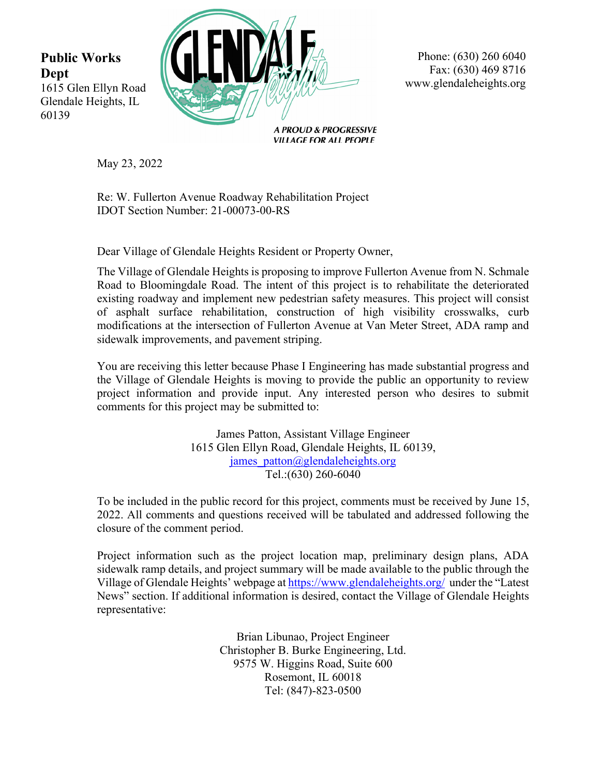**Public Works Dept**  1615 Glen Ellyn Road Glendale Heights, IL 60139



Phone: (630) 260 6040 Fax: (630) 469 8716 www.glendaleheights.org

**A PROUD & PROGRESSIVE VILLAGE FOR ALL PEOPLE** 

May 23, 2022

Re: W. Fullerton Avenue Roadway Rehabilitation Project IDOT Section Number: 21-00073-00-RS

Dear Village of Glendale Heights Resident or Property Owner,

The Village of Glendale Heights is proposing to improve Fullerton Avenue from N. Schmale Road to Bloomingdale Road. The intent of this project is to rehabilitate the deteriorated existing roadway and implement new pedestrian safety measures. This project will consist of asphalt surface rehabilitation, construction of high visibility crosswalks, curb modifications at the intersection of Fullerton Avenue at Van Meter Street, ADA ramp and sidewalk improvements, and pavement striping.

You are receiving this letter because Phase I Engineering has made substantial progress and the Village of Glendale Heights is moving to provide the public an opportunity to review project information and provide input. Any interested person who desires to submit comments for this project may be submitted to:

> James Patton, Assistant Village Engineer 1615 Glen Ellyn Road, Glendale Heights, IL 60139, james\_patton@glendaleheights.org Tel.:(630) 260-6040

To be included in the public record for this project, comments must be received by June 15, 2022. All comments and questions received will be tabulated and addressed following the closure of the comment period.

Project information such as the project location map, preliminary design plans, ADA sidewalk ramp details, and project summary will be made available to the public through the Village of Glendale Heights' webpage at https://www.glendaleheights.org/ under the "Latest News" section. If additional information is desired, contact the Village of Glendale Heights representative:

> Brian Libunao, Project Engineer Christopher B. Burke Engineering, Ltd. 9575 W. Higgins Road, Suite 600 Rosemont, IL 60018 Tel: (847)-823-0500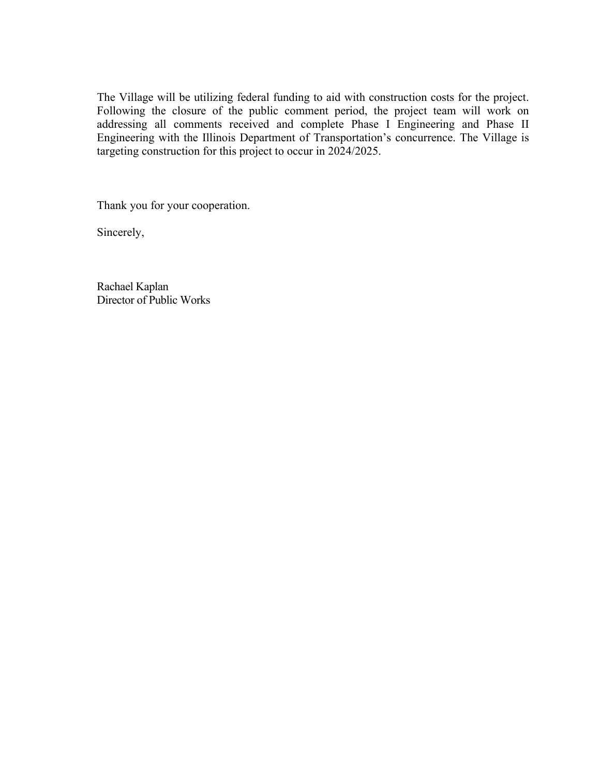The Village will be utilizing federal funding to aid with construction costs for the project. Following the closure of the public comment period, the project team will work on addressing all comments received and complete Phase I Engineering and Phase II Engineering with the Illinois Department of Transportation's concurrence. The Village is targeting construction for this project to occur in 2024/2025.

Thank you for your cooperation.

Sincerely,

Rachael Kaplan Director of Public Works